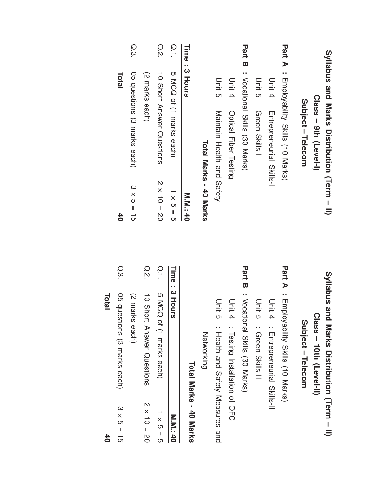| $\overline{6}$             | Total                                           |               |                            |                                                 |                  |
|----------------------------|-------------------------------------------------|---------------|----------------------------|-------------------------------------------------|------------------|
| $3 \times 5 = 15$          | 05 questions (3 marks each)                     | Q.3           | 40                         | Total                                           |                  |
|                            | (2 marks each)                                  |               | $3 \times 5 = 15$          | 05 questions (3 marks each)                     | Q.3              |
| $2 \times 10 = 20$         | 10 Short<br>Answer Questions                    | Q.2.          |                            | (2 marks each)                                  |                  |
| $\frac{1}{1} \times 5 = 5$ | 5 MCQ <sub>0</sub><br>of (1 marks each)         | $\frac{0}{1}$ | $2 \times 10 = 20$         | 10 Short Answer Questions                       | O.S              |
| <b>M.M.140</b>             | Time: 3 Hours                                   |               | $\frac{1}{1} \times 5 = 5$ | 5 MCQ of (1 marks each)                         | $\overline{0}.1$ |
| Total Marks - 40 Marks     |                                                 |               | <b>M.M.140</b>             | Time: 3 Hours                                   |                  |
|                            | Networking                                      |               | Total Marks - 40 Marks     |                                                 |                  |
|                            | Unit 5<br>Health and Safety Measures and        |               |                            | Unit 5<br>: Maintain Health and Satery          |                  |
|                            | Unit 4<br>: Testing Installation of OFC         |               |                            | Unit 4<br>: Optical Fiber Testing               |                  |
|                            | Part B: Vocational Skills (30 Marks)            |               |                            | Part B : Vocational Skills (30 Marks)           |                  |
|                            | Unit 5<br>: Green Skills-II                     |               |                            | Unit 5 : Qreen Skills-1                         |                  |
|                            | Unit 4<br>: Entrepreneurial Skills-II           |               |                            | Unit 4 : Entepenential Skills-1                 |                  |
|                            | <b>Part A</b> : Employability Skills (10 Marks) |               |                            | <b>Part A</b> : Employability Skills (10 Marks) |                  |
|                            | Subject - Telecom                               |               |                            | Subject - Telecom                               |                  |
|                            | Class - 10th (Level-II)                         |               |                            | Class - 9th (Level-I)                           |                  |
|                            | Syllabus and<br>Marks Distripction (Herm - II)  |               |                            | Syllabus and Marks Distribution (Term - II)     |                  |